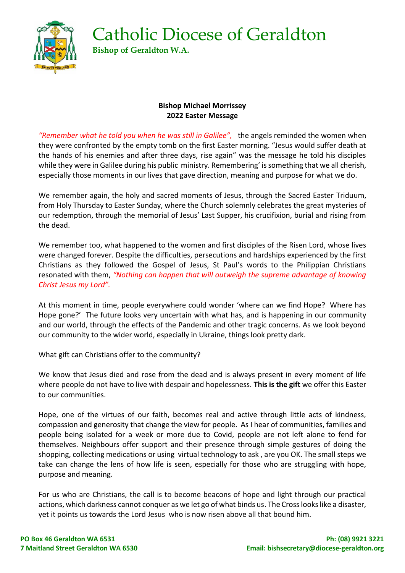Catholic Diocese of Geraldton **Bishop of Geraldton W.A.**



## **Bishop Michael Morrissey 2022 Easter Message**

*"Remember what he told you when he was still in Galilee",* the angels reminded the women when they were confronted by the empty tomb on the first Easter morning. "Jesus would suffer death at the hands of his enemies and after three days, rise again" was the message he told his disciples while they were in Galilee during his public ministry. Remembering' is something that we all cherish, especially those moments in our lives that gave direction, meaning and purpose for what we do.

We remember again, the holy and sacred moments of Jesus, through the Sacred Easter Triduum, from Holy Thursday to Easter Sunday, where the Church solemnly celebrates the great mysteries of our redemption, through the memorial of Jesus' Last Supper, his crucifixion, burial and rising from the dead.

We remember too, what happened to the women and first disciples of the Risen Lord, whose lives were changed forever. Despite the difficulties, persecutions and hardships experienced by the first Christians as they followed the Gospel of Jesus, St Paul's words to the Philippian Christians resonated with them, *"Nothing can happen that will outweigh the supreme advantage of knowing Christ Jesus my Lord".* 

At this moment in time, people everywhere could wonder 'where can we find Hope? Where has Hope gone?' The future looks very uncertain with what has, and is happening in our community and our world, through the effects of the Pandemic and other tragic concerns. As we look beyond our community to the wider world, especially in Ukraine, things look pretty dark.

What gift can Christians offer to the community?

We know that Jesus died and rose from the dead and is always present in every moment of life where people do not have to live with despair and hopelessness. **This is the gift** we offer this Easter to our communities.

Hope, one of the virtues of our faith, becomes real and active through little acts of kindness, compassion and generosity that change the view for people. As I hear of communities, families and people being isolated for a week or more due to Covid, people are not left alone to fend for themselves. Neighbours offer support and their presence through simple gestures of doing the shopping, collecting medications or using virtual technology to ask , are you OK. The small steps we take can change the lens of how life is seen, especially for those who are struggling with hope, purpose and meaning.

For us who are Christians, the call is to become beacons of hope and light through our practical actions, which darkness cannot conquer as we let go of what binds us. The Cross looks like a disaster, yet it points us towards the Lord Jesus who is now risen above all that bound him.